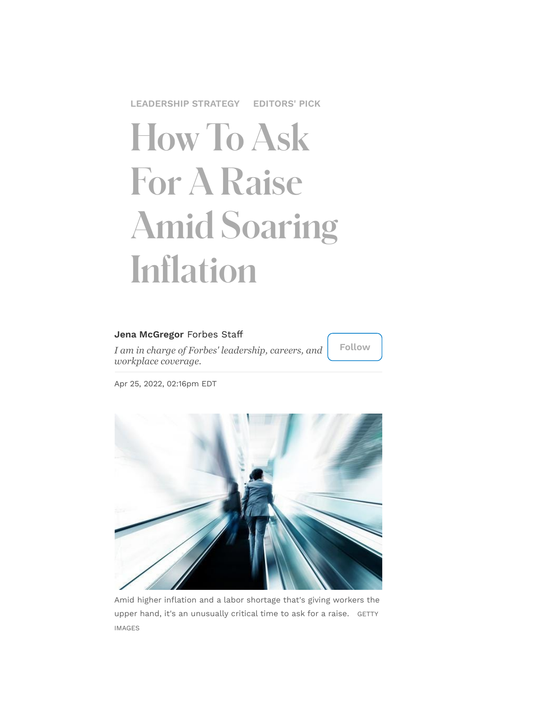**[LEADERSHIP](https://www.forbes.com/leadership-strategy) STRATEGY [EDITORS'](https://www.forbes.com/editors-picks) PICK**

# How To Ask For A Raise Amid Soaring Inflation

#### **Jena [McGregor](https://www.forbes.com/sites/jenamcgregor/)** Forbes Staff

*I am in charge of Forbes' leadership, careers, and workplace coverage.*

**Follow**

Apr 25, 2022, 02:16pm EDT



Amid higher inflation and a labor shortage that's giving workers the<br>upper hand, it's an unusually critical time to ask for a raise. GETTY<br>IMAGES upper hand, it's an unusually critical time to ask for a raise. GETTY IMAGES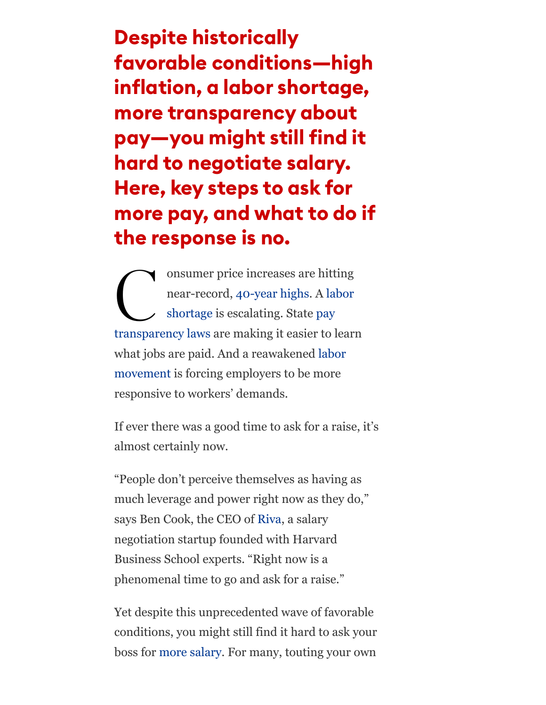Despite historically favorable conditions—high inflation, a labor shortage, more transparency about pay—you might still find it hard to negotiate salary. Here, key steps to ask for more pay, and what to do if the response is no.

 $\begin{array}{c} \begin{array}{c} \circ \\ \circ \\ \circ \end{array} \end{array}$ onsumer price increases are hitting [near-record,](https://www.forbes.com/sites/patrickwwatson/2021/06/15/the-labor-shortage-may-be-permanent/) [40-year highs](https://www.forbes.com/sites/jonathanponciano/2022/04/12/inflation-hits-40-year-high-spiking-85-in-march-as-ukraine-invasion-fuels-oil-prices/?sh=1943008d41fc)[. A labor](https://www.forbes.com/sites/patrickwwatson/2021/06/15/the-labor-shortage-may-be-permanent/) shortage is escalating. State pay [transparency laws are making it easier to l](https://www.forbes.com/sites/jenamcgregor/2022/03/15/how-nycs-pay-transparency-law-could-have-a-national-impact-on-the-pay-gap-and-your-job-search/?sh=2fbb11a77706)earn [what jobs are paid. And a reawakened labor](https://www.forbes.com/sites/zacharysmith/2022/03/09/three-starbucks-stores-unionize-in-a-single-afternoon/?sh=27dc47ab53a8) movement is forcing employers to be more responsive to workers' demands.

If ever there was a good time to ask for a raise, it's almost certainly now.

"People don't perceive themselves as having as much leverage and power right now as they do," says Ben Cook, the CEO of [Riva,](https://www.rivahq.com/) a salary negotiation startup founded with Harvard Business School experts. "Right now is a phenomenal time to go and ask for a raise."

Yet despite this unprecedented wave of favorable conditions, you might still find it hard to ask your boss for [more salary.](https://www.forbes.com/sites/jenamcgregor/2022/03/14/more-than-40-of-companies-say-workers-have-asked-for-higher-pay-to-offset-inflation-few-have-revised-salary-budgets/?sh=37880f7ca713) For many, touting your own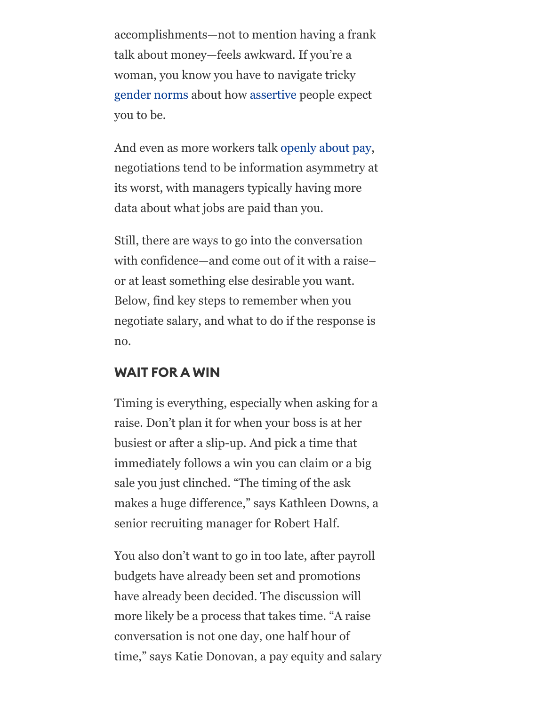accomplishments—not to mention having a frank talk about money—feels awkward. If you're a woman, you know you have to navigate tricky [gender norms](https://www.forbes.com/sites/kimelsesser/2021/01/21/why-women-fall-short-in-negotiations-its-not-lack-of-skill/?sh=452051585d02) about how [assertive](https://www.forbes.com/sites/adigaskell/2015/11/02/study-reveals-how-women-can-thrive-by-exhibiting-caring-assertiveness/?sh=6d20c7e4328c) people expect you to be.

And even as more workers talk [openly about pay,](https://www.forbes.com/sites/jenamcgregor/2022/03/28/women-under-30-are-out-earning-menor-at-least-reaching-pay-parity-in-these-22-cities/?sh=94209b8703a0) negotiations tend to be information asymmetry at its worst, with managers typically having more data about what jobs are paid than you.

Still, there are ways to go into the conversation with confidence—and come out of it with a raise– or at least something else desirable you want. Below, find key steps to remember when you negotiate salary, and what to do if the response is no.

#### WAIT FOR A WIN

Timing is everything, especially when asking for a raise. Don't plan it for when your boss is at her busiest or after a slip-up. And pick a time that immediately follows a win you can claim or a big sale you just clinched. "The timing of the ask makes a huge difference," says Kathleen Downs, a senior recruiting manager for Robert Half.

You also don't want to go in too late, after payroll budgets have already been set and promotions have already been decided. The discussion will more likely be a process that takes time. "A raise conversation is not one day, one half hour of time," says Katie Donovan, a pay equity and salary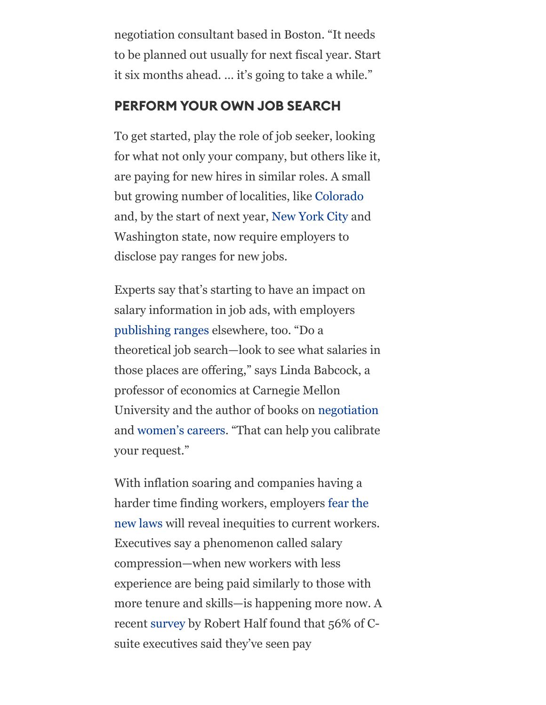negotiation consultant based in Boston. "It needs to be planned out usually for next fiscal year. Start it six months ahead. … it's going to take a while."

### PERFORM YOUR OWN JOB SEARCH

To get started, play the role of job seeker, looking for what not only your company, but others like it, are paying for new hires in similar roles. A small but growing number of localities, like [Colorado](https://www.forbes.com/sites/isabelcontreras/2021/11/01/whats-the-pay-more-employers-including-chime-and-accenture-are-falling-in-line-with-colorado-law-requiring-salary-ranges-in-job-postings/?sh=3083a6fa670a) and, by the start of next year, [New York City](https://www.forbes.com/sites/jenamcgregor/2022/03/15/how-nycs-pay-transparency-law-could-have-a-national-impact-on-the-pay-gap-and-your-job-search/?sh=7af3f8a97706) and Washington state, now require employers to disclose pay ranges for new jobs.

Experts say that's starting to have an impact on salary information in job ads, with employers [publishing ranges](https://www.forbes.com/sites/jenamcgregor/2022/03/15/how-nycs-pay-transparency-law-could-have-a-national-impact-on-the-pay-gap-and-your-job-search/) elsewhere, too. "Do a theoretical job search—look to see what salaries in those places are offering," says Linda Babcock, a professor of economics at Carnegie Mellon University and the author of books on [negotiation](https://www.amazon.com/Women-Dont-Ask-Negotiation-Gender/dp/0691210535/ref=pd_sbs_2_sccl_1/147-2077100-6029352?pd_rd_w=NfMMz&pf_rd_p=4b6b5072-e9bd-4f30-a3af-a1f5d52978ec&pf_rd_r=8KEVV2DFGQ39A058RXWY&pd_rd_r=0e87c352-f99c-47e4-889e-52748f297cbf&pd_rd_wg=5SNDN&pd_rd_i=0691210535&psc=1) and [women's careers](https://www.amazon.com/No-Club-Putting-Womens-Dead-End/dp/1982152338/ref=sr_1_2?crid=1V0GSDNJQ3QU2&keywords=linda+babcock&qid=1650903504&sprefix=linda+babcock%2Caps%2C117&sr=8-2). "That can help you calibrate your request."

With inflation soaring and companies having a harder time finding workers, employers fear the [new laws will reveal inequities to current worker](https://www.forbes.com/sites/kimelsesser/2022/04/06/nyc-pay-transparency-in-limbo-as-businesses-claim-law-may-hinder-diversity-efforts/?sh=518589aa3b27)s. Executives say a phenomenon called salary compression—when new workers with less experience are being paid similarly to those with more tenure and skills—is happening more now. A recent [survey](https://rh-us.mediaroom.com/2022-04-08-56-Of-U-S-Companies-Have-Experienced-Pay-Compression-In-The-Last-12-Months,-Robert-Half-Research-Finds) by Robert Half found that 56% of Csuite executives said they've seen pay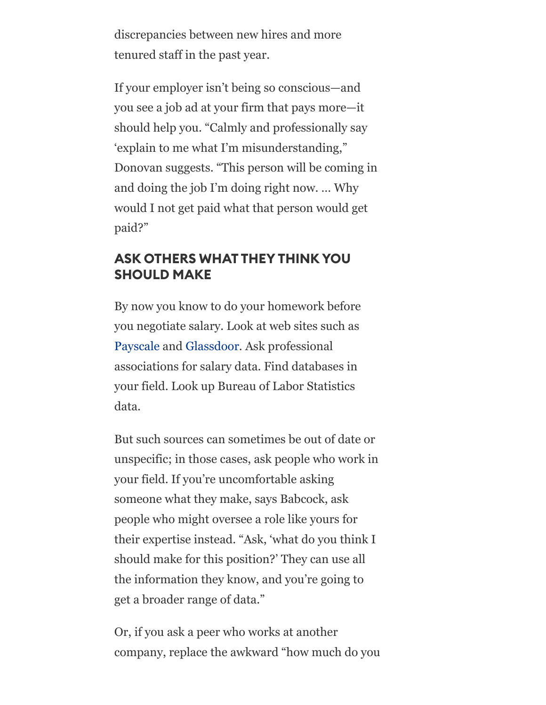discrepancies between new hires and more tenured staff in the past year.

If your employer isn't being so conscious—and you see a job ad at your firm that pays more—it should help you. "Calmly and professionally say 'explain to me what I'm misunderstanding," Donovan suggests. "This person will be coming in and doing the job I'm doing right now. … Why would I not get paid what that person would get paid?"

### ASK OTHERS WHAT THEYTHINK YOU SHOULD MAKE

By now you know to do your homework before you negotiate salary. Look at web sites such as [Payscale](https://www.payscale.com/) and [Glassdoor](https://www.glassdoor.com/index.htm). Ask professional associations for salary data. Find databases in your field. Look up Bureau of Labor Statistics data.

But such sources can sometimes be out of date or unspecific; in those cases, ask people who work in your field. If you're uncomfortable asking someone what they make, says Babcock, ask people who might oversee a role like yours for their expertise instead. "Ask, 'what do you think I should make for this position?' They can use all the information they know, and you're going to get a broader range of data."

Or, if you ask a peer who works at another company, replace the awkward "how much do you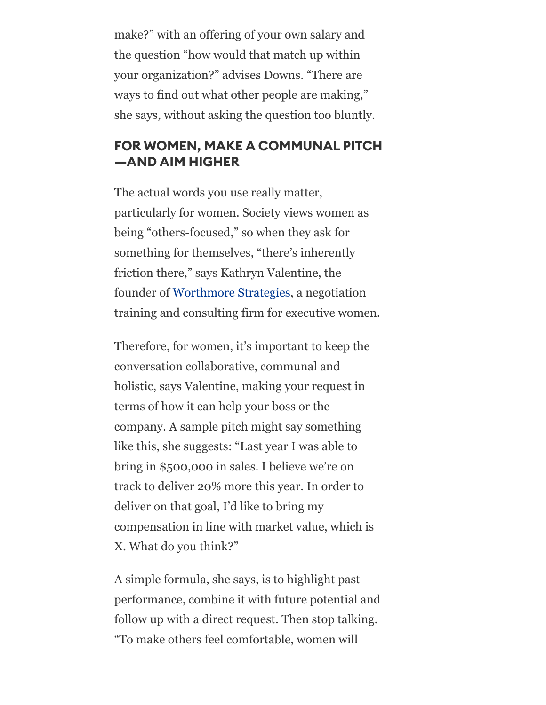make?" with an offering of your own salary and the question "how would that match up within your organization?" advises Downs. "There are ways to find out what other people are making," she says, without asking the question too bluntly.

# FOR WOMEN, MAKE A COMMUNAL PITCH —AND AIM HIGHER

The actual words you use really matter, particularly for women. Society views women as being "others-focused," so when they ask for something for themselves, "there's inherently friction there," says Kathryn Valentine, the founder of [Worthmore Strategies,](https://worthmorenegotiations.com/) a negotiation training and consulting firm for executive women.

Therefore, for women, it's important to keep the conversation collaborative, communal and holistic, says Valentine, making your request in terms of how it can help your boss or the company. A sample pitch might say something like this, she suggests: "Last year I was able to bring in \$500,000 in sales. I believe we're on track to deliver 20% more this year. In order to deliver on that goal, I'd like to bring my compensation in line with market value, which is X. What do you think?"

A simple formula, she says, is to highlight past performance, combine it with future potential and follow up with a direct request. Then stop talking. "To make others feel comfortable, women will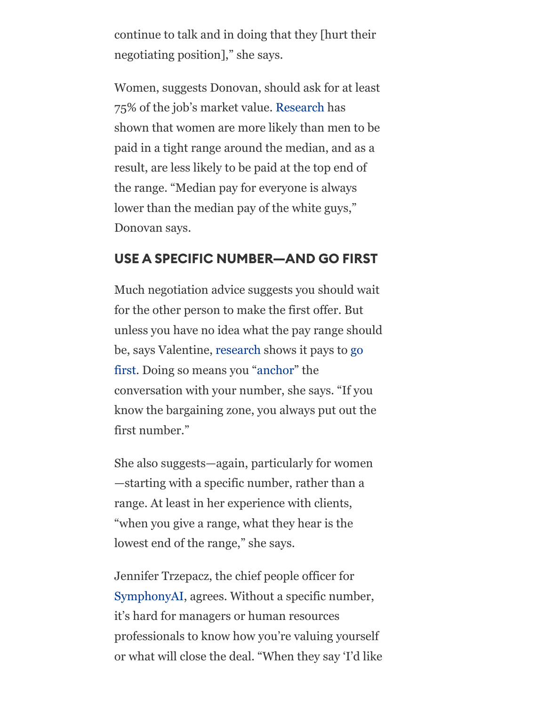continue to talk and in doing that they [hurt their negotiating position]," she says.

Women, suggests Donovan, should ask for at least 75% of the job's market value. [Research](https://www.forbes.com/sites/jenamcgregor/2021/10/27/a-push-to-fix-pay-equity-has-focused-on-the-median-pay-gap-a-new-report-says-doing-so-created-an-unfair-glass-floor/) has shown that women are more likely than men to be paid in a tight range around the median, and as a result, are less likely to be paid at the top end of the range. "Median pay for everyone is always lower than the median pay of the white guys," Donovan says.

#### USE A SPECIFIC NUMBER—AND GO FIRST

Much negotiation advice suggests you should wait for the other person to make the first offer. But unless you have no idea what the pay range should [be, says Valentine, r](https://journals.sagepub.com/doi/10.1177/0146167206294413)[esearch](https://www2.psych.ubc.ca/~schaller/Psyc590Readings/TverskyKahneman1974.pdf) [shows it pays to go](https://journals.sagepub.com/doi/10.1177/0146167206294413) first. Doing so means you ["anchor"](https://www.pon.harvard.edu/tag/anchoring-effect/#:~:text=The%20anchoring%20effect%20is%20a,the%20bargaining%20zone%20is%20unclear.) the conversation with your number, she says. "If you know the bargaining zone, you always put out the first number."

She also suggests—again, particularly for women —starting with a specific number, rather than a range. At least in her experience with clients, "when you give a range, what they hear is the lowest end of the range," she says.

Jennifer Trzepacz, the chief people officer for [SymphonyAI](https://www.symphonyai.com/), agrees. Without a specific number, it's hard for managers or human resources professionals to know how you're valuing yourself or what will close the deal. "When they say 'I'd like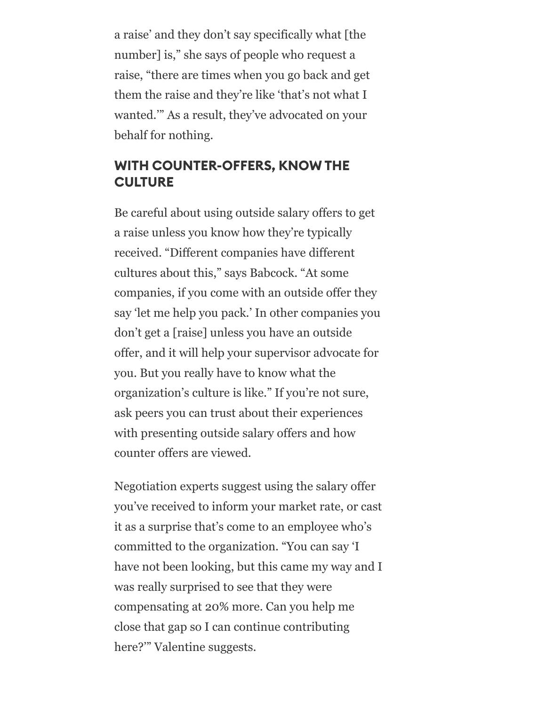a raise' and they don't say specifically what [the number] is," she says of people who request a raise, "there are times when you go back and get them the raise and they're like 'that's not what I wanted.'" As a result, they've advocated on your behalf for nothing.

#### WITH COUNTER-OFFERS, KNOW THE **CULTURE**

Be careful about using outside salary offers to get a raise unless you know how they're typically received. "Different companies have different cultures about this," says Babcock. "At some companies, if you come with an outside offer they say 'let me help you pack.' In other companies you don't get a [raise] unless you have an outside offer, and it will help your supervisor advocate for you. But you really have to know what the organization's culture is like." If you're not sure, ask peers you can trust about their experiences with presenting outside salary offers and how counter offers are viewed.

Negotiation experts suggest using the salary offer you've received to inform your market rate, or cast it as a surprise that's come to an employee who's committed to the organization. "You can say 'I have not been looking, but this came my way and I was really surprised to see that they were compensating at 20% more. Can you help me close that gap so I can continue contributing here?'" Valentine suggests.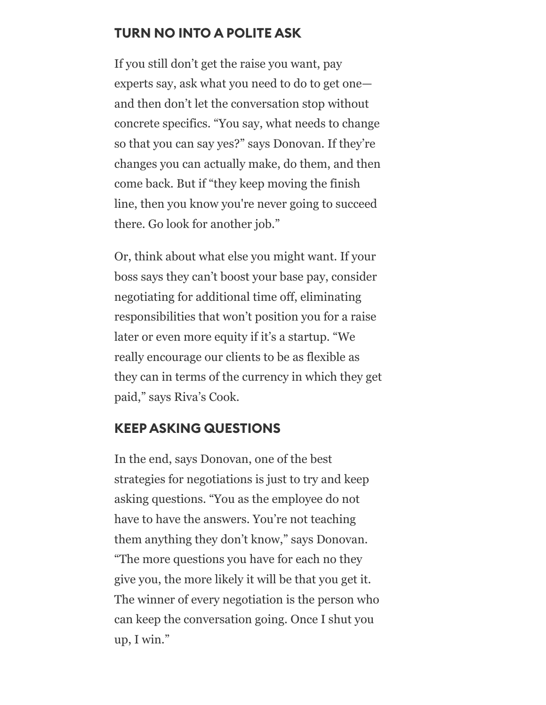# TURN NO INTO A POLITE ASK

If you still don't get the raise you want, pay experts say, ask what you need to do to get one and then don't let the conversation stop without concrete specifics. "You say, what needs to change so that you can say yes?" says Donovan. If they're changes you can actually make, do them, and then come back. But if "they keep moving the finish line, then you know you're never going to succeed there. Go look for another job."

Or, think about what else you might want. If your boss says they can't boost your base pay, consider negotiating for additional time off, eliminating responsibilities that won't position you for a raise later or even more equity if it's a startup. "We really encourage our clients to be as flexible as they can in terms of the currency in which they get paid," says Riva's Cook.

#### KEEP ASKING QUESTIONS

In the end, says Donovan, one of the best strategies for negotiations is just to try and keep asking questions. "You as the employee do not have to have the answers. You're not teaching them anything they don't know," says Donovan. "The more questions you have for each no they give you, the more likely it will be that you get it. The winner of every negotiation is the person who can keep the conversation going. Once I shut you up, I win."